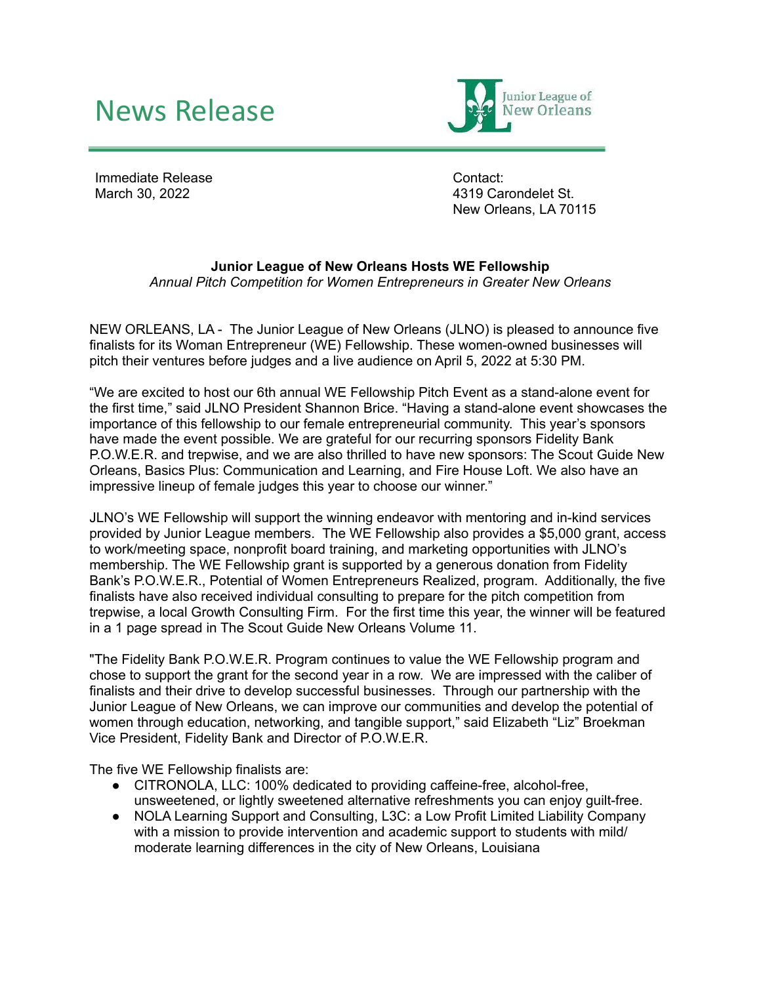## News Release



Immediate Release March 30, 2022

Contact: 4319 Carondelet St. New Orleans, LA 70115

## **Junior League of New Orleans Hosts WE Fellowship**

*Annual Pitch Competition for Women Entrepreneurs in Greater New Orleans*

NEW ORLEANS, LA - The Junior League of New Orleans (JLNO) is pleased to announce five finalists for its Woman Entrepreneur (WE) Fellowship. These women-owned businesses will pitch their ventures before judges and a live audience on April 5, 2022 at 5:30 PM.

"We are excited to host our 6th annual WE Fellowship Pitch Event as a stand-alone event for the first time," said JLNO President Shannon Brice. "Having a stand-alone event showcases the importance of this fellowship to our female entrepreneurial community. This year's sponsors have made the event possible. We are grateful for our recurring sponsors Fidelity Bank P.O.W.E.R. and trepwise, and we are also thrilled to have new sponsors: The Scout Guide New Orleans, Basics Plus: Communication and Learning, and Fire House Loft. We also have an impressive lineup of female judges this year to choose our winner."

JLNO's WE Fellowship will support the winning endeavor with mentoring and in-kind services provided by Junior League members. The WE Fellowship also provides a \$5,000 grant, access to work/meeting space, nonprofit board training, and marketing opportunities with JLNO's membership. The WE Fellowship grant is supported by a generous donation from Fidelity Bank's P.O.W.E.R., Potential of Women Entrepreneurs Realized, program. Additionally, the five finalists have also received individual consulting to prepare for the pitch competition from trepwise, a local Growth Consulting Firm. For the first time this year, the winner will be featured in a 1 page spread in The Scout Guide New Orleans Volume 11.

"The Fidelity Bank P.O.W.E.R. Program continues to value the WE Fellowship program and chose to support the grant for the second year in a row. We are impressed with the caliber of finalists and their drive to develop successful businesses. Through our partnership with the Junior League of New Orleans, we can improve our communities and develop the potential of women through education, networking, and tangible support," said Elizabeth "Liz" Broekman Vice President, Fidelity Bank and Director of P.O.W.E.R.

The five WE Fellowship finalists are:

- CITRONOLA, LLC: 100% dedicated to providing caffeine-free, alcohol-free, unsweetened, or lightly sweetened alternative refreshments you can enjoy guilt-free.
- NOLA Learning Support and Consulting, L3C: a Low Profit Limited Liability Company with a mission to provide intervention and academic support to students with mild/ moderate learning differences in the city of New Orleans, Louisiana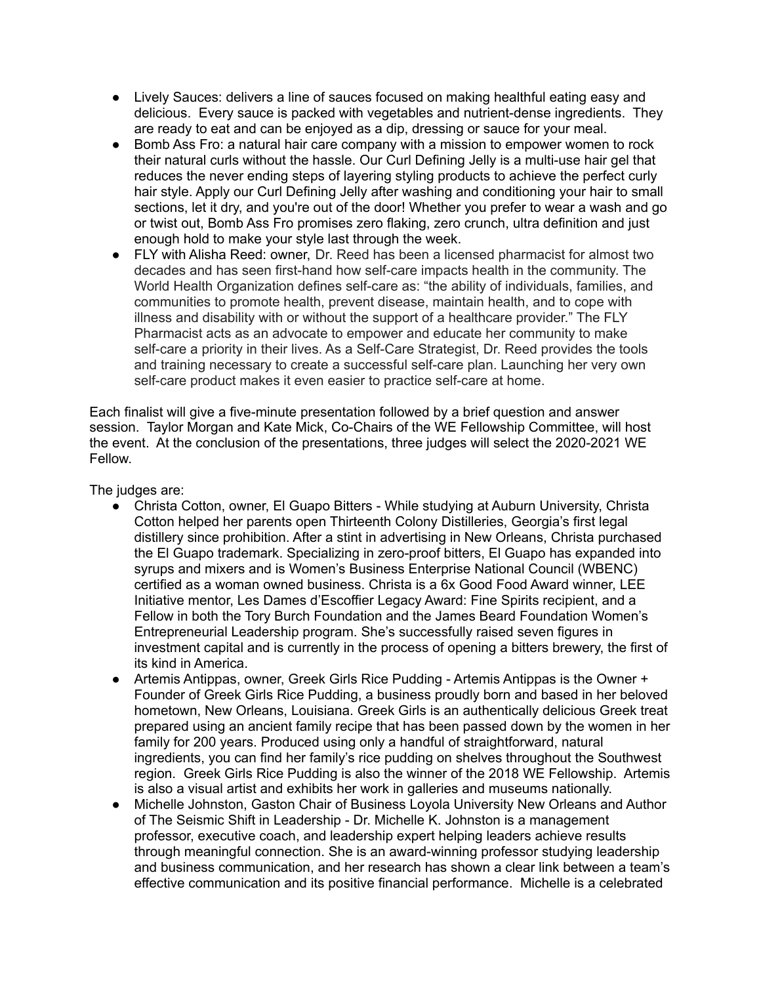- Lively Sauces: delivers a line of sauces focused on making healthful eating easy and delicious. Every sauce is packed with vegetables and nutrient-dense ingredients. They are ready to eat and can be enjoyed as a dip, dressing or sauce for your meal.
- Bomb Ass Fro: a natural hair care company with a mission to empower women to rock their natural curls without the hassle. Our Curl Defining Jelly is a multi-use hair gel that reduces the never ending steps of layering styling products to achieve the perfect curly hair style. Apply our Curl Defining Jelly after washing and conditioning your hair to small sections, let it dry, and you're out of the door! Whether you prefer to wear a wash and go or twist out, Bomb Ass Fro promises zero flaking, zero crunch, ultra definition and just enough hold to make your style last through the week.
- FLY with Alisha Reed: owner, Dr. Reed has been a licensed pharmacist for almost two decades and has seen first-hand how self-care impacts health in the community. The World Health Organization defines self-care as: "the ability of individuals, families, and communities to promote health, prevent disease, maintain health, and to cope with illness and disability with or without the support of a healthcare provider." The FLY Pharmacist acts as an advocate to empower and educate her community to make self-care a priority in their lives. As a Self-Care Strategist, Dr. Reed provides the tools and training necessary to create a successful self-care plan. Launching her very own self-care product makes it even easier to practice self-care at home.

Each finalist will give a five-minute presentation followed by a brief question and answer session. Taylor Morgan and Kate Mick, Co-Chairs of the WE Fellowship Committee, will host the event. At the conclusion of the presentations, three judges will select the 2020-2021 WE Fellow.

The judges are:

- Christa Cotton, owner, El Guapo Bitters While studying at Auburn University, Christa Cotton helped her parents open Thirteenth Colony Distilleries, Georgia's first legal distillery since prohibition. After a stint in advertising in New Orleans, Christa purchased the El Guapo trademark. Specializing in zero-proof bitters, El Guapo has expanded into syrups and mixers and is Women's Business Enterprise National Council (WBENC) certified as a woman owned business. Christa is a 6x Good Food Award winner, LEE Initiative mentor, Les Dames d'Escoffier Legacy Award: Fine Spirits recipient, and a Fellow in both the Tory Burch Foundation and the James Beard Foundation Women's Entrepreneurial Leadership program. She's successfully raised seven figures in investment capital and is currently in the process of opening a bitters brewery, the first of its kind in America.
- Artemis Antippas, owner, Greek Girls Rice Pudding Artemis Antippas is the Owner + Founder of Greek Girls Rice Pudding, a business proudly born and based in her beloved hometown, New Orleans, Louisiana. Greek Girls is an authentically delicious Greek treat prepared using an ancient family recipe that has been passed down by the women in her family for 200 years. Produced using only a handful of straightforward, natural ingredients, you can find her family's rice pudding on shelves throughout the Southwest region. Greek Girls Rice Pudding is also the winner of the 2018 WE Fellowship. Artemis is also a visual artist and exhibits her work in galleries and museums nationally.
- Michelle Johnston, Gaston Chair of Business Loyola University New Orleans and Author of The Seismic Shift in Leadership - Dr. Michelle K. Johnston is a management professor, executive coach, and leadership expert helping leaders achieve results through meaningful connection. She is an award-winning professor studying leadership and business communication, and her research has shown a clear link between a team's effective communication and its positive financial performance. Michelle is a celebrated